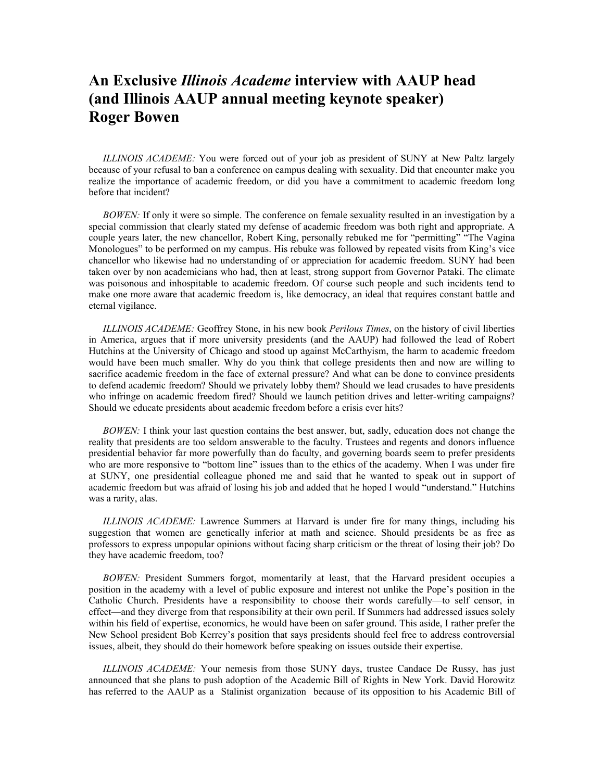## **An Exclusive** *Illinois Academe* **interview with AAUP head (and Illinois AAUP annual meeting keynote speaker) Roger Bowen**

*ILLINOIS ACADEME:* You were forced out of your job as president of SUNY at New Paltz largely because of your refusal to ban a conference on campus dealing with sexuality. Did that encounter make you realize the importance of academic freedom, or did you have a commitment to academic freedom long before that incident?

*BOWEN*: If only it were so simple. The conference on female sexuality resulted in an investigation by a special commission that clearly stated my defense of academic freedom was both right and appropriate. A couple years later, the new chancellor, Robert King, personally rebuked me for "permitting" "The Vagina Monologues" to be performed on my campus. His rebuke was followed by repeated visits from King's vice chancellor who likewise had no understanding of or appreciation for academic freedom. SUNY had been taken over by non academicians who had, then at least, strong support from Governor Pataki. The climate was poisonous and inhospitable to academic freedom. Of course such people and such incidents tend to make one more aware that academic freedom is, like democracy, an ideal that requires constant battle and eternal vigilance.

*ILLINOIS ACADEME:* Geoffrey Stone, in his new book *Perilous Times*, on the history of civil liberties in America, argues that if more university presidents (and the AAUP) had followed the lead of Robert Hutchins at the University of Chicago and stood up against McCarthyism, the harm to academic freedom would have been much smaller. Why do you think that college presidents then and now are willing to sacrifice academic freedom in the face of external pressure? And what can be done to convince presidents to defend academic freedom? Should we privately lobby them? Should we lead crusades to have presidents who infringe on academic freedom fired? Should we launch petition drives and letter-writing campaigns? Should we educate presidents about academic freedom before a crisis ever hits?

*BOWEN*: I think your last question contains the best answer, but, sadly, education does not change the reality that presidents are too seldom answerable to the faculty. Trustees and regents and donors influence presidential behavior far more powerfully than do faculty, and governing boards seem to prefer presidents who are more responsive to "bottom line" issues than to the ethics of the academy. When I was under fire at SUNY, one presidential colleague phoned me and said that he wanted to speak out in support of academic freedom but was afraid of losing his job and added that he hoped I would "understand." Hutchins was a rarity, alas.

*ILLINOIS ACADEME:* Lawrence Summers at Harvard is under fire for many things, including his suggestion that women are genetically inferior at math and science. Should presidents be as free as professors to express unpopular opinions without facing sharp criticism or the threat of losing their job? Do they have academic freedom, too?

*BOWEN:* President Summers forgot, momentarily at least, that the Harvard president occupies a position in the academy with a level of public exposure and interest not unlike the Pope's position in the Catholic Church. Presidents have a responsibility to choose their words carefully—to self censor, in effect—and they diverge from that responsibility at their own peril. If Summers had addressed issues solely within his field of expertise, economics, he would have been on safer ground. This aside, I rather prefer the New School president Bob Kerrey's position that says presidents should feel free to address controversial issues, albeit, they should do their homework before speaking on issues outside their expertise.

*ILLINOIS ACADEME:* Your nemesis from those SUNY days, trustee Candace De Russy, has just announced that she plans to push adoption of the Academic Bill of Rights in New York. David Horowitz has referred to the AAUP as a Stalinist organization because of its opposition to his Academic Bill of